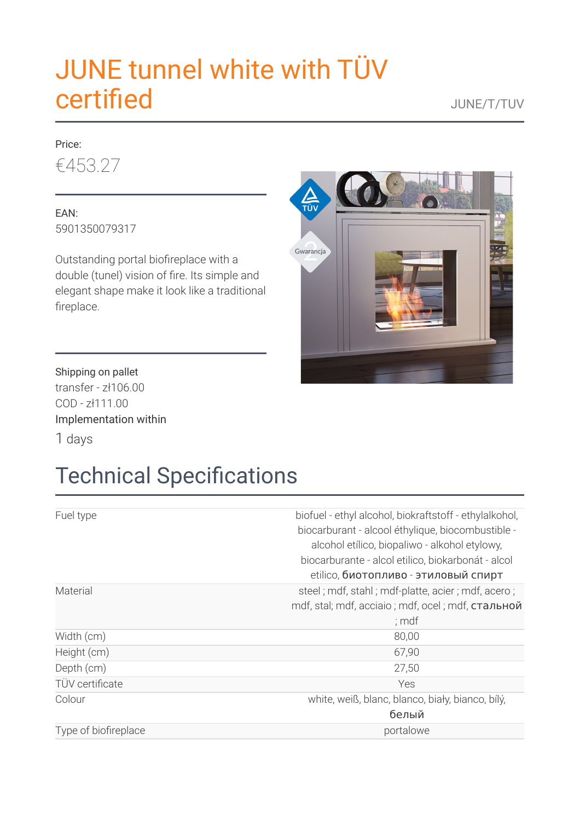# JUNE tunnel white with TÜV **certified** JUNE/T/TUV

### Price: €453.27

EAN: 5901350079317

Outstanding portal biofireplace with a double (tunel) vision of fire. Its simple and elegant shape make it look like a traditional fireplace.

**A**<br>TÜV Gwarancja

Shipping on pallet transfer - zł106.00 COD - zł111.00 Implementation within 1 days

# **Technical Specifications**

| Fuel type              | biofuel - ethyl alcohol, biokraftstoff - ethylalkohol,<br>biocarburant - alcool éthylique, biocombustible -<br>alcohol etílico, biopaliwo - alkohol etylowy,<br>biocarburante - alcol etilico, biokarbonát - alcol<br>etilico, биотопливо - этиловый спирт |
|------------------------|------------------------------------------------------------------------------------------------------------------------------------------------------------------------------------------------------------------------------------------------------------|
| Material               | steel; mdf, stahl; mdf-platte, acier; mdf, acero;<br>mdf, stal; mdf, acciaio; mdf, ocel; mdf, стальной<br>; mdf                                                                                                                                            |
| Width (cm)             | 80,00                                                                                                                                                                                                                                                      |
| Height (cm)            | 67,90                                                                                                                                                                                                                                                      |
| Depth (cm)             | 27,50                                                                                                                                                                                                                                                      |
| <b>TÜV</b> certificate | Yes                                                                                                                                                                                                                                                        |
| Colour                 | white, weiß, blanc, blanco, biały, bianco, bílý,<br>белый                                                                                                                                                                                                  |
| Type of biofireplace   | portalowe                                                                                                                                                                                                                                                  |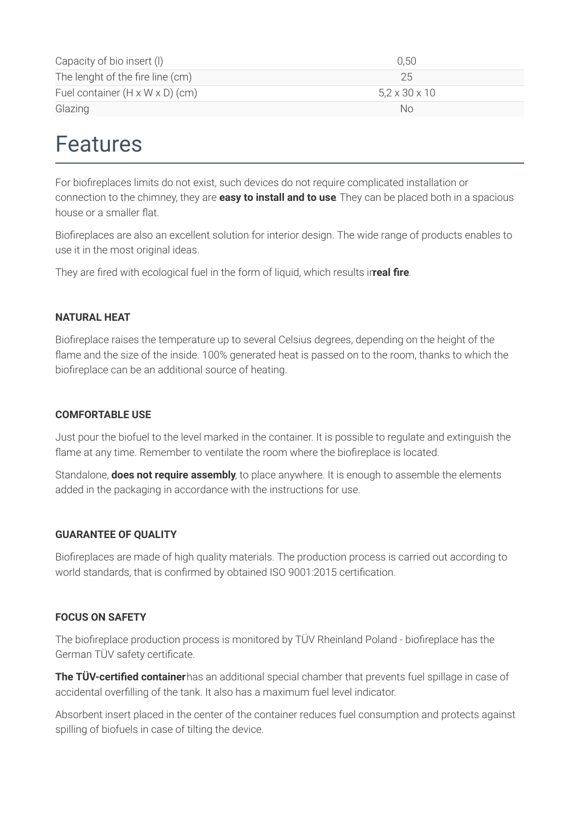| Capacity of bio insert (I)                  | 0.50                      |
|---------------------------------------------|---------------------------|
| The lenght of the fire line (cm)            | 25                        |
| Fuel container $(H \times W \times D)$ (cm) | $5,2 \times 30 \times 10$ |
| Glazing                                     | Nο                        |

### Features

For biofireplaces limits do not exist, such devices do not require complicated installation or connection to the chimney, they are **easy to install and to use**. They can be placed both in a spacious house or a smaller flat.

Biofireplaces are also an excellent solution for interior design. The wide range of products enables to use it in the most original ideas.

They are fired with ecological fuel in the form of liquid, which results inveal fire.

#### **NATURAL HEAT**

Biofireplace raises the temperature up to several Celsius degrees, depending on the height of the flame and the size of the inside. 100% generated heat is passed on to the room, thanks to which the biofireplace can be an additional source of heating.

#### **COMFORTABLE USE**

Just pour the biofuel to the level marked in the container. It is possible to regulate and extinguish the flame at any time. Remember to ventilate the room where the biofireplace is located.

Standalone, **does not require assembly**, to place anywhere. It is enough to assemble the elements added in the packaging in accordance with the instructions for use.

#### **GUARANTEE OF QUALITY**

Biofireplaces are made of high quality materials. The production process is carried out according to world standards, that is confirmed by obtained ISO 9001:2015 certification.

#### **FOCUS ON SAFETY**

The biofireplace production process is monitored by TÜV Rheinland Poland - biofireplace has the German TÜV safety certificate.

**The TÜV-certified container** has an additional special chamber that prevents fuel spillage in case of accidental overlling of the tank. It also has a maximum fuel level indicator.

Absorbent insert placed in the center of the container reduces fuel consumption and protects against spilling of biofuels in case of tilting the device.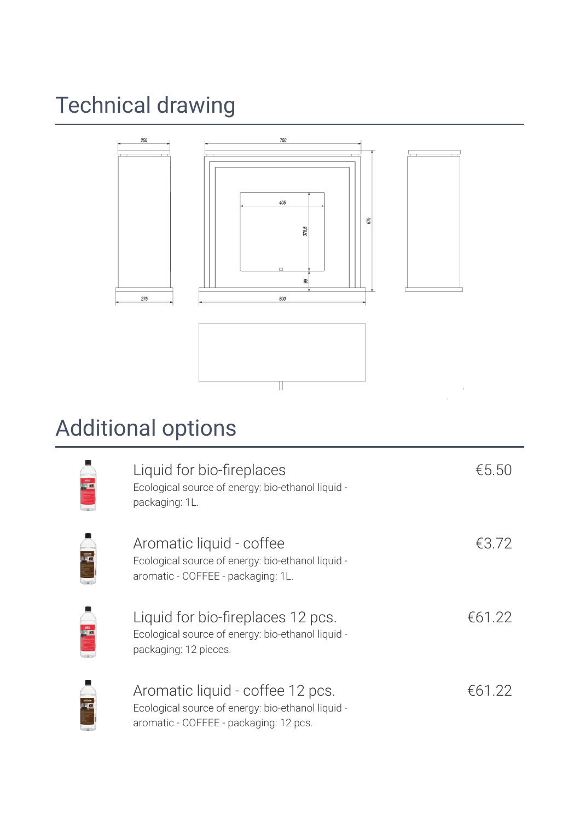# Technical drawing



## Additional options

| Liquid for bio-fireplaces<br>Ecological source of energy: bio-ethanol liquid -<br>packaging: 1L.                                | €5.50  |
|---------------------------------------------------------------------------------------------------------------------------------|--------|
| Aromatic liquid - coffee<br>Ecological source of energy: bio-ethanol liquid -<br>aromatic - COFFEE - packaging: 1L.             | €3.72  |
| Liquid for bio-fireplaces 12 pcs.<br>Ecological source of energy: bio-ethanol liquid -<br>packaging: 12 pieces.                 | €61.22 |
| Aromatic liquid - coffee 12 pcs.<br>Ecological source of energy: bio-ethanol liquid -<br>aromatic - COFFEE - packaging: 12 pcs. | €61.22 |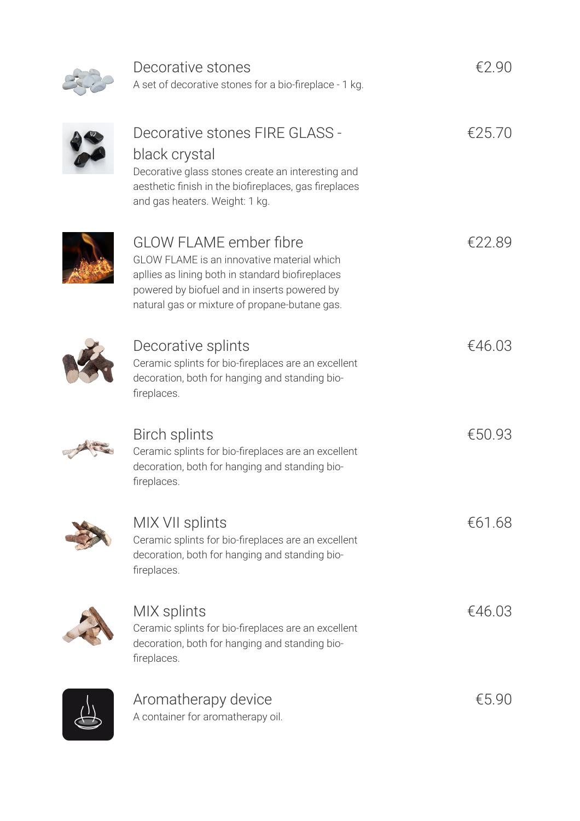Decorative stones

A set of decorative stones for a bio-fireplace - 1 kg.

€2.90

| Decorative stones FIRE GLASS -<br>black crystal<br>Decorative glass stones create an interesting and<br>aesthetic finish in the biofireplaces, gas fireplaces<br>and gas heaters. Weight: 1 kg.                                  | €25.70   |
|----------------------------------------------------------------------------------------------------------------------------------------------------------------------------------------------------------------------------------|----------|
| <b>GLOW FLAME ember fibre</b><br>GLOW FLAME is an innovative material which<br>apllies as lining both in standard biofireplaces<br>powered by biofuel and in inserts powered by<br>natural gas or mixture of propane-butane gas. | €22.89   |
| Decorative splints<br>Ceramic splints for bio-fireplaces are an excellent<br>decoration, both for hanging and standing bio-<br>fireplaces.                                                                                       | €46.03   |
| <b>Birch splints</b><br>Ceramic splints for bio-fireplaces are an excellent<br>decoration, both for hanging and standing bio-<br>fireplaces.                                                                                     | €50.93   |
| MIX VII splints<br>Ceramic splints for bio-fireplaces are an excellent<br>decoration, both for hanging and standing bio-<br>fireplaces.                                                                                          | €61.68   |
| MIX splints<br>Ceramic splints for bio-fireplaces are an excellent<br>decoration, both for hanging and standing bio-<br>fireplaces.                                                                                              | €46.03   |
| Aromatherapy device                                                                                                                                                                                                              | € $5.90$ |

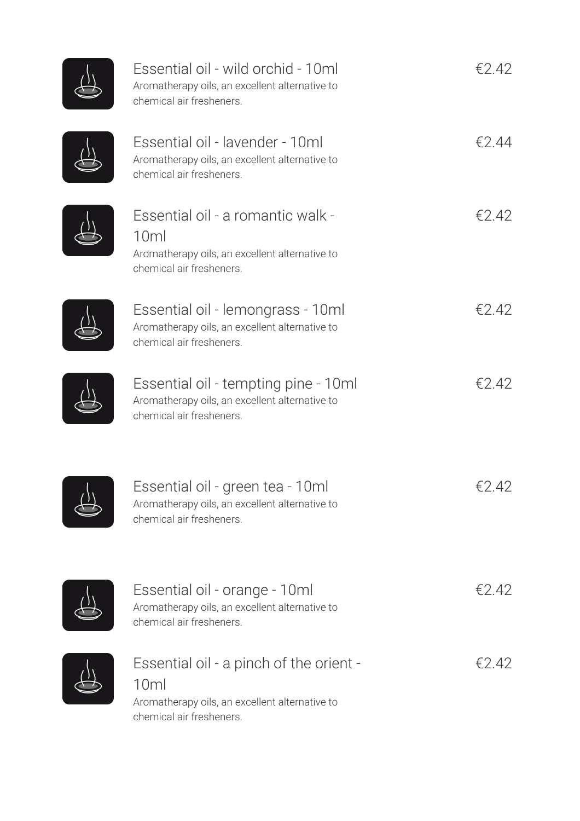| Essential oil - wild orchid - 10ml<br>Aromatherapy oils, an excellent alternative to<br>chemical air fresheners.                         | €2.42 |
|------------------------------------------------------------------------------------------------------------------------------------------|-------|
| Essential oil - lavender - 10ml<br>Aromatherapy oils, an excellent alternative to<br>chemical air fresheners.                            | €2.44 |
| Essential oil - a romantic walk -<br>10ml<br>Aromatherapy oils, an excellent alternative to<br>chemical air fresheners.                  | €2.42 |
| Essential oil - lemongrass - 10ml<br>Aromatherapy oils, an excellent alternative to<br>chemical air fresheners.                          | €2.42 |
| Essential oil - tempting pine - 10ml<br>Aromatherapy oils, an excellent alternative to<br>chemical air fresheners.                       | €2.42 |
| Essential oil - green tea - 10ml<br>Aromatherapy oils, an excellent alternative to<br>chemical air fresheners.                           | €2.42 |
| Essential oil - orange - 10ml<br>Aromatherapy oils, an excellent alternative to<br>chemical air fresheners.                              | €2.42 |
| Essential oil - a pinch of the orient -<br>10 <sub>m</sub><br>Aromatherapy oils, an excellent alternative to<br>chemical air fresheners. | €2.42 |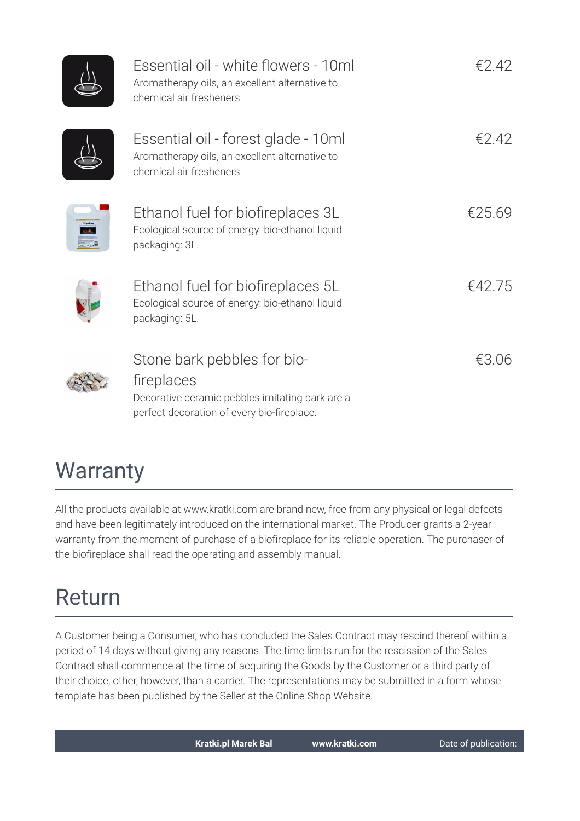| Essential oil - white flowers - 10ml<br>Aromatherapy oils, an excellent alternative to<br>chemical air fresheners.                         | €2.42  |
|--------------------------------------------------------------------------------------------------------------------------------------------|--------|
| Essential oil - forest glade - 10ml<br>Aromatherapy oils, an excellent alternative to<br>chemical air fresheners.                          | €2.42  |
| Ethanol fuel for biofireplaces 3L<br>Ecological source of energy: bio-ethanol liquid<br>packaging: 3L.                                     | €25.69 |
| Ethanol fuel for biofireplaces 5L<br>Ecological source of energy: bio-ethanol liquid<br>packaging: 5L.                                     | €42.75 |
| Stone bark pebbles for bio-<br>fireplaces<br>Decorative ceramic pebbles imitating bark are a<br>perfect decoration of every bio-fireplace. | €3.06  |

### **Warranty**

All the products available at www.kratki.com are brand new, free from any physical or legal defects and have been legitimately introduced on the international market. The Producer grants a 2-year warranty from the moment of purchase of a biofireplace for its reliable operation. The purchaser of the biofireplace shall read the operating and assembly manual.

### Return

A Customer being a Consumer, who has concluded the Sales Contract may rescind thereof within a period of 14 days without giving any reasons. The time limits run for the rescission of the Sales Contract shall commence at the time of acquiring the Goods by the Customer or a third party of their choice, other, however, than a carrier. The representations may be submitted in a form whose template has been published by the Seller at the Online Shop Website.